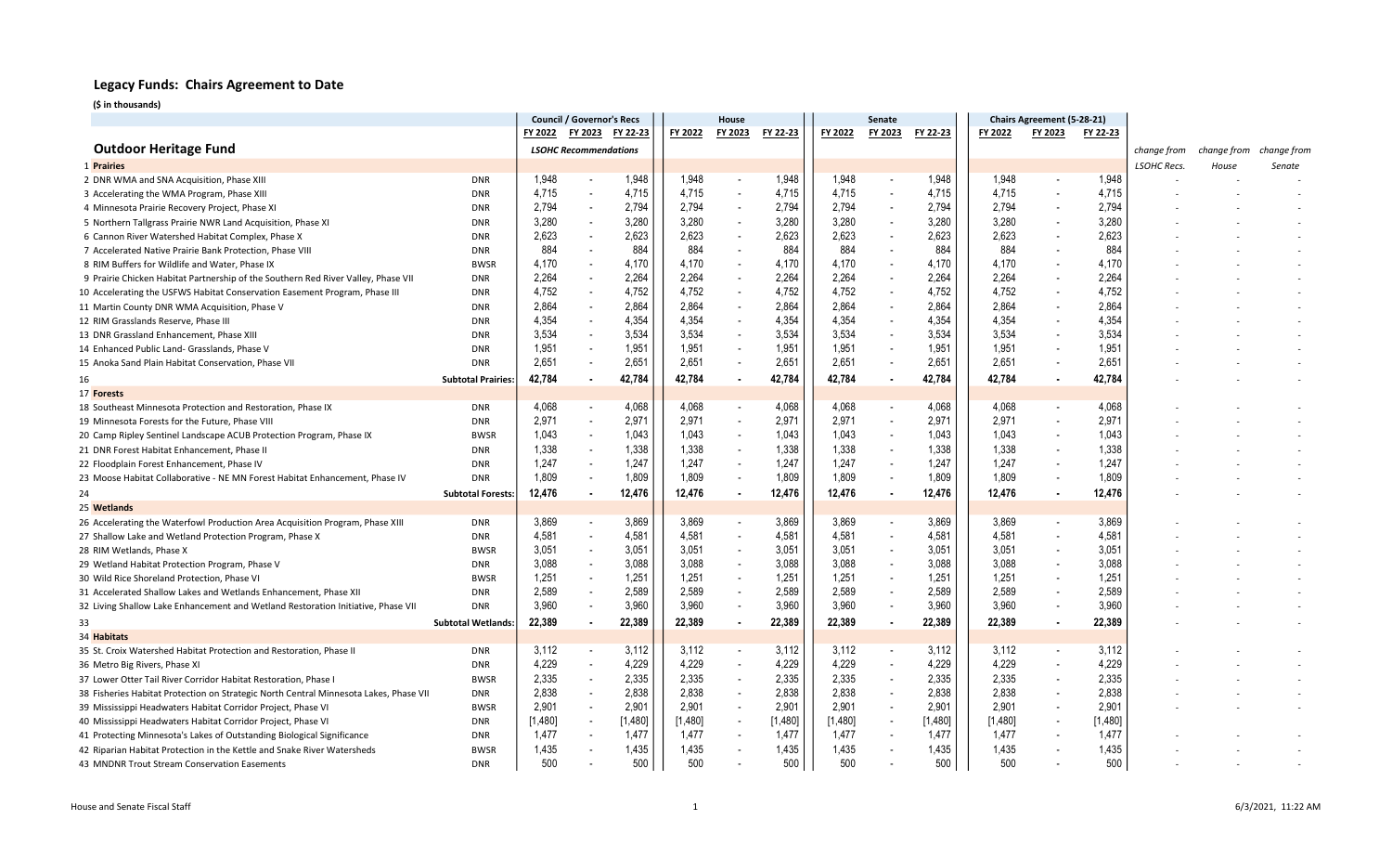|                                                                                       |                           | <b>Council / Governor's Recs</b> |                              | House    |         |                          | Senate   |         |                          | Chairs Agreement (5-28-21) |         |                          |          |                    |             |             |
|---------------------------------------------------------------------------------------|---------------------------|----------------------------------|------------------------------|----------|---------|--------------------------|----------|---------|--------------------------|----------------------------|---------|--------------------------|----------|--------------------|-------------|-------------|
|                                                                                       |                           | FY 2022 FY 2023                  |                              | FY 22-23 | FY 2022 | FY 2023                  | FY 22-23 | FY 2022 | FY 2023                  | FY 22-23                   | FY 2022 | FY 2023                  | FY 22-23 |                    |             |             |
| <b>Outdoor Heritage Fund</b>                                                          |                           |                                  | <b>LSOHC Recommendations</b> |          |         |                          |          |         |                          |                            |         |                          |          | change from        | change from | change from |
| 1 Prairies                                                                            |                           |                                  |                              |          |         |                          |          |         |                          |                            |         |                          |          | <b>LSOHC Recs.</b> | House       | Senate      |
| 2 DNR WMA and SNA Acquisition, Phase XIII                                             | <b>DNR</b>                | 1,948                            |                              | 1,948    | 1,948   |                          | 1,948    | 1,948   | $\overline{\phantom{a}}$ | 1,948                      | 1,948   | $\overline{\phantom{a}}$ | 1,948    |                    |             |             |
| 3 Accelerating the WMA Program, Phase XIII                                            | <b>DNR</b>                | 4,715                            |                              | 4,715    | 4,715   |                          | 4,715    | 4,715   |                          | 4,715                      | 4,715   |                          | 4,715    |                    |             |             |
| 4 Minnesota Prairie Recovery Project, Phase XI                                        | <b>DNR</b>                | 2,794                            | $\overline{\phantom{a}}$     | 2,794    | 2,794   | $\overline{\phantom{a}}$ | 2,794    | 2,794   |                          | 2,794                      | 2,794   |                          | 2,794    |                    |             |             |
| 5 Northern Tallgrass Prairie NWR Land Acquisition, Phase XI                           | <b>DNR</b>                | 3,280                            |                              | 3,280    | 3,280   |                          | 3,280    | 3,280   | $\overline{\phantom{a}}$ | 3,280                      | 3,280   |                          | 3,280    |                    |             |             |
| 6 Cannon River Watershed Habitat Complex, Phase X                                     | <b>DNR</b>                | 2,623                            |                              | 2,623    | 2,623   |                          | 2,623    | 2,623   |                          | 2,623                      | 2,623   |                          | 2,623    |                    |             |             |
| 7 Accelerated Native Prairie Bank Protection, Phase VIII                              | <b>DNR</b>                | 884                              |                              | 884      | 884     |                          | 884      | 884     |                          | 884                        | 884     |                          | 884      |                    |             |             |
| 8 RIM Buffers for Wildlife and Water, Phase IX                                        | <b>BWSR</b>               | 4,170                            |                              | 4,170    | 4,170   |                          | 4,170    | 4,170   |                          | 4,170                      | 4,170   |                          | 4,170    |                    |             |             |
| 9 Prairie Chicken Habitat Partnership of the Southern Red River Valley, Phase VII     | <b>DNR</b>                | 2,264                            |                              | 2,264    | 2,264   |                          | 2,264    | 2,264   |                          | 2,264                      | 2,264   |                          | 2,264    |                    |             |             |
| 10 Accelerating the USFWS Habitat Conservation Easement Program, Phase III            | <b>DNR</b>                | 4,752                            |                              | 4,752    | 4,752   |                          | 4,752    | 4,752   | $\overline{\phantom{a}}$ | 4,752                      | 4,752   |                          | 4,752    |                    |             |             |
| 11 Martin County DNR WMA Acquisition, Phase V                                         | <b>DNR</b>                | 2,864                            |                              | 2,864    | 2,864   |                          | 2,864    | 2,864   | $\overline{\phantom{a}}$ | 2,864                      | 2,864   |                          | 2,864    |                    |             |             |
| 12 RIM Grasslands Reserve, Phase III                                                  | <b>DNR</b>                | 4,354                            |                              | 4,354    | 4,354   |                          | 4,354    | 4,354   | $\overline{\phantom{a}}$ | 4,354                      | 4,354   |                          | 4,354    |                    |             |             |
| 13 DNR Grassland Enhancement, Phase XIII                                              | <b>DNR</b>                | 3,534                            |                              | 3,534    | 3,534   |                          | 3,534    | 3,534   |                          | 3,534                      | 3,534   |                          | 3,534    |                    |             |             |
| 14 Enhanced Public Land- Grasslands, Phase V                                          | <b>DNR</b>                | 1,951                            |                              | 1,951    | 1,951   |                          | 1,951    | 1,951   |                          | 1,951                      | 1,951   |                          | 1,951    |                    |             |             |
| 15 Anoka Sand Plain Habitat Conservation, Phase VII                                   | <b>DNR</b>                | 2,651                            |                              | 2,651    | 2.651   | $\overline{\phantom{a}}$ | 2,651    | 2,651   | $\overline{\phantom{a}}$ | 2,651                      | 2.651   |                          | 2,651    |                    |             |             |
| 16                                                                                    | <b>Subtotal Prairies:</b> | 42,784                           |                              | 42,784   | 42,784  |                          | 42,784   | 42,784  |                          | 42,784                     | 42,784  |                          | 42,784   |                    |             |             |
| 17 Forests                                                                            |                           |                                  |                              |          |         |                          |          |         |                          |                            |         |                          |          |                    |             |             |
| 18 Southeast Minnesota Protection and Restoration, Phase IX                           | <b>DNR</b>                | 4,068                            |                              | 4,068    | 4,068   |                          | 4,068    | 4,068   |                          | 4,068                      | 4,068   |                          | 4,068    |                    |             |             |
| 19 Minnesota Forests for the Future, Phase VIII                                       | <b>DNR</b>                | 2,971                            |                              | 2,971    | 2,971   |                          | 2,971    | 2,971   |                          | 2,971                      | 2,971   |                          | 2,971    |                    |             |             |
| 20 Camp Ripley Sentinel Landscape ACUB Protection Program, Phase IX                   | <b>BWSR</b>               | 1,043                            |                              | 1,043    | 1,043   |                          | 1,043    | 1,043   | $\blacksquare$           | 1,043                      | 1,043   |                          | 1,043    |                    |             |             |
| 21 DNR Forest Habitat Enhancement, Phase II                                           | <b>DNR</b>                | 1,338                            |                              | 1,338    | 1,338   |                          | 1,338    | 1,338   | $\overline{\phantom{a}}$ | 1,338                      | 1,338   |                          | 1,338    |                    |             |             |
| 22 Floodplain Forest Enhancement, Phase IV                                            | <b>DNR</b>                | 1,247                            | $\overline{\phantom{a}}$     | 1,247    | 1,247   | $\overline{\phantom{a}}$ | 1,247    | 1,247   |                          | 1,247                      | 1,247   |                          | 1,247    |                    |             |             |
| 23 Moose Habitat Collaborative - NE MN Forest Habitat Enhancement, Phase IV           | <b>DNR</b>                | 1,809                            |                              | 1,809    | 1,809   | $\overline{\phantom{a}}$ | 1,809    | 1,809   | $\overline{\phantom{a}}$ | 1,809                      | 1,809   |                          | 1,809    |                    |             |             |
| 24                                                                                    | <b>Subtotal Forests:</b>  | 12,476                           |                              | 12,476   | 12,476  | $\bullet$                | 12,476   | 12,476  |                          | 12,476                     | 12,476  |                          | 12,476   |                    |             |             |
| 25 Wetlands                                                                           |                           |                                  |                              |          |         |                          |          |         |                          |                            |         |                          |          |                    |             |             |
| 26 Accelerating the Waterfowl Production Area Acquisition Program, Phase XIII         | <b>DNR</b>                | 3,869                            |                              | 3,869    | 3,869   | $\overline{\phantom{a}}$ | 3,869    | 3,869   | $\overline{\phantom{a}}$ | 3,869                      | 3,869   |                          | 3,869    |                    |             |             |
| 27 Shallow Lake and Wetland Protection Program, Phase X                               | <b>DNR</b>                | 4,581                            |                              | 4,581    | 4,581   |                          | 4,581    | 4,581   |                          | 4,581                      | 4,581   |                          | 4,581    |                    |             |             |
| 28 RIM Wetlands, Phase X                                                              | <b>BWSR</b>               | 3,051                            |                              | 3,051    | 3,051   |                          | 3,051    | 3,051   |                          | 3,051                      | 3,051   |                          | 3,051    |                    |             |             |
| 29 Wetland Habitat Protection Program, Phase V                                        | <b>DNR</b>                | 3,088                            |                              | 3,088    | 3,088   |                          | 3,088    | 3,088   | $\overline{\phantom{a}}$ | 3,088                      | 3,088   |                          | 3,088    |                    |             |             |
| 30 Wild Rice Shoreland Protection, Phase V                                            | <b>BWSR</b>               | 1,251                            |                              | 1,251    | 1,251   | $\overline{\phantom{a}}$ | 1,251    | 1,251   |                          | 1,251                      | 1,251   |                          | 1,251    |                    |             |             |
| 31 Accelerated Shallow Lakes and Wetlands Enhancement, Phase XII                      | <b>DNR</b>                | 2,589                            |                              | 2,589    | 2,589   | $\overline{\phantom{a}}$ | 2,589    | 2,589   | $\overline{\phantom{a}}$ | 2,589                      | 2,589   |                          | 2,589    |                    |             |             |
| 32 Living Shallow Lake Enhancement and Wetland Restoration Initiative, Phase VII      | <b>DNR</b>                | 3,960                            |                              | 3,960    | 3,960   |                          | 3,960    | 3,960   | $\overline{\phantom{a}}$ | 3,960                      | 3,960   |                          | 3,960    |                    |             |             |
| 33                                                                                    | <b>Subtotal Wetlands:</b> | 22,389                           |                              | 22,389   | 22,389  | $\bullet$                | 22,389   | 22,389  |                          | 22,389                     | 22,389  |                          | 22,389   |                    |             |             |
| 34 Habitats                                                                           |                           |                                  |                              |          |         |                          |          |         |                          |                            |         |                          |          |                    |             |             |
| 35 St. Croix Watershed Habitat Protection and Restoration, Phase II                   | <b>DNR</b>                | 3,112                            |                              | 3,112    | 3,112   |                          | 3,112    | 3,112   |                          | 3,112                      | 3,112   |                          | 3,112    |                    |             |             |
| 36 Metro Big Rivers, Phase XI                                                         | <b>DNR</b>                | 4,229                            |                              | 4,229    | 4,229   |                          | 4,229    | 4,229   |                          | 4,229                      | 4,229   |                          | 4,229    |                    |             |             |
| 37 Lower Otter Tail River Corridor Habitat Restoration, Phase I                       | <b>BWSR</b>               | 2,335                            |                              | 2,335    | 2,335   | $\overline{\phantom{a}}$ | 2,335    | 2,335   |                          | 2,335                      | 2,335   |                          | 2,335    |                    |             |             |
| 38 Fisheries Habitat Protection on Strategic North Central Minnesota Lakes, Phase VII | <b>DNR</b>                | 2,838                            |                              | 2,838    | 2,838   | $\overline{\phantom{a}}$ | 2,838    | 2,838   | $\overline{\phantom{a}}$ | 2,838                      | 2,838   |                          | 2,838    |                    |             |             |
| 39 Mississippi Headwaters Habitat Corridor Project, Phase VI                          | <b>BWSR</b>               | 2,901                            |                              | 2,901    | 2,901   |                          | 2,901    | 2,901   | $\blacksquare$           | 2,901                      | 2,901   | $\overline{\phantom{a}}$ | 2,901    |                    |             |             |
| 40 Mississippi Headwaters Habitat Corridor Project, Phase VI                          | <b>DNR</b>                | [1,480]                          |                              | [1,480]  | [1,480] |                          | [1,480]  | [1,480] |                          | [1,480]                    | [1,480] |                          | [1,480]  |                    |             |             |
| 41 Protecting Minnesota's Lakes of Outstanding Biological Significance                | <b>DNR</b>                | 1,477                            |                              | 1,477    | 1,477   |                          | 1,477    | 1,477   |                          | 1,477                      | 1,477   |                          | 1,477    |                    |             |             |
| 42 Riparian Habitat Protection in the Kettle and Snake River Watersheds               | <b>BWSR</b>               | 1,435                            |                              | 1,435    | 1,435   |                          | 1,435    | 1,435   |                          | 1,435                      | 1,435   |                          | 1,435    |                    |             |             |
| 43 MNDNR Trout Stream Conservation Easements                                          | <b>DNR</b>                | 500                              |                              | 500      | 500     |                          | 500      | 500     |                          | 500                        | 500     |                          | 500      |                    |             |             |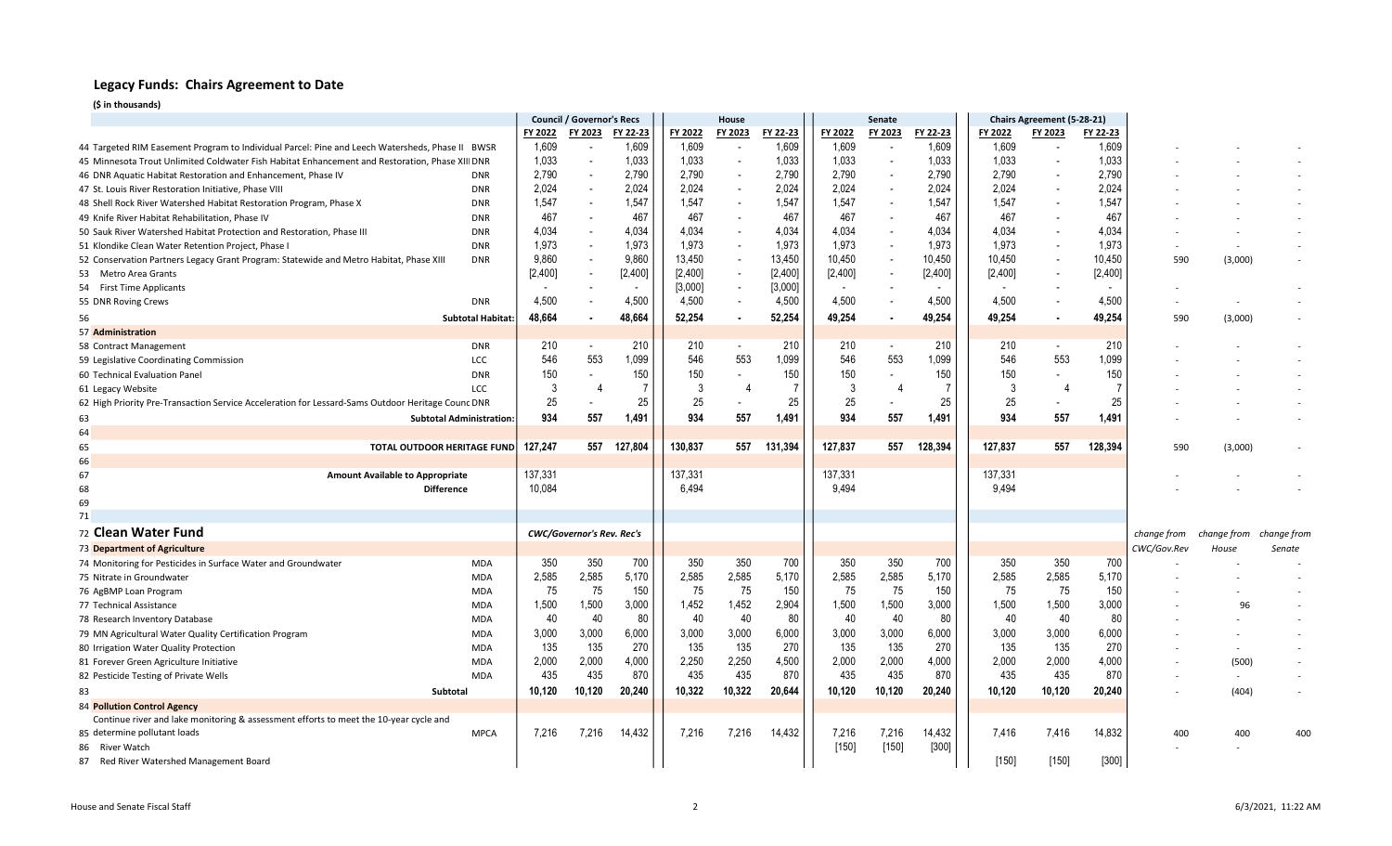|                                                                                                   |                                 | <b>Council / Governor's Recs</b> |                                  |          | House   |                          |          | Senate         |                          |          |         | Chairs Agreement (5-28-21) |          |             |                          |             |
|---------------------------------------------------------------------------------------------------|---------------------------------|----------------------------------|----------------------------------|----------|---------|--------------------------|----------|----------------|--------------------------|----------|---------|----------------------------|----------|-------------|--------------------------|-------------|
|                                                                                                   |                                 | FY 2022                          | FY 2023                          | FY 22-23 | FY 2022 | FY 2023                  | FY 22-23 | FY 2022        | FY 2023                  | FY 22-23 | FY 2022 | FY 2023                    | FY 22-23 |             |                          |             |
| 44 Targeted RIM Easement Program to Individual Parcel: Pine and Leech Watersheds, Phase II BWSR   |                                 | 1,609                            |                                  | 1,609    | 1,609   |                          | 1,609    | 1,609          | $\overline{\phantom{a}}$ | 1,609    | 1,609   |                            | 1,609    |             |                          |             |
| 45 Minnesota Trout Unlimited Coldwater Fish Habitat Enhancement and Restoration, Phase XIII DNR   |                                 | 1,033                            | $\overline{\phantom{a}}$         | 1,033    | 1,033   | $\overline{\phantom{a}}$ | 1,033    | 1,033          | $\overline{\phantom{a}}$ | 1,033    | 1,033   | $\overline{\phantom{a}}$   | 1,033    |             |                          |             |
| 46 DNR Aquatic Habitat Restoration and Enhancement, Phase IV                                      | <b>DNR</b>                      | 2,790                            |                                  | 2,790    | 2,790   |                          | 2,790    | 2,790          |                          | 2,790    | 2,790   |                            | 2,790    |             |                          |             |
| 47 St. Louis River Restoration Initiative, Phase VIII                                             | <b>DNR</b>                      | 2,024                            |                                  | 2,024    | 2,024   |                          | 2,024    | 2,024          |                          | 2,024    | 2,024   |                            | 2,024    |             |                          |             |
| 48 Shell Rock River Watershed Habitat Restoration Program, Phase X                                | <b>DNR</b>                      | 1,547                            |                                  | 1,547    | 1,547   |                          | 1,547    | 1,547          | $\overline{\phantom{a}}$ | 1,547    | 1,547   |                            | 1,547    |             |                          |             |
| 49 Knife River Habitat Rehabilitation, Phase IV                                                   | <b>DNR</b>                      | 467                              |                                  | 467      | 467     |                          | 467      | 467            |                          | 467      | 467     |                            | 467      |             |                          |             |
| 50 Sauk River Watershed Habitat Protection and Restoration, Phase III                             | <b>DNR</b>                      | 4,034                            |                                  | 4.034    | 4.034   |                          | 4.034    | 4,034          |                          | 4.034    | 4.034   |                            | 4,034    |             |                          |             |
| 51 Klondike Clean Water Retention Project, Phase                                                  | <b>DNR</b>                      | 1,973                            |                                  | 1,973    | 1,973   |                          | 1,973    | 1,973          | $\overline{\phantom{a}}$ | 1,973    | 1,973   |                            | 1,973    |             |                          |             |
| 52 Conservation Partners Legacy Grant Program: Statewide and Metro Habitat, Phase XIII            | <b>DNR</b>                      | 9,860                            |                                  | 9.860    | 13,450  |                          | 13.450   | 10,450         | $\overline{\phantom{a}}$ | 10,450   | 10,450  |                            | 10,450   | 590         | (3,000)                  |             |
| 53 Metro Area Grants                                                                              |                                 | [2,400]                          |                                  | [2,400]  | [2,400] | $\overline{\phantom{a}}$ | [2,400]  | [2,400]        | $\overline{\phantom{a}}$ | [2,400]  | [2,400] | $\overline{\phantom{a}}$   | [2,400]  |             |                          |             |
| 54 First Time Applicants                                                                          |                                 |                                  |                                  |          | [3,000] | $\overline{\phantom{a}}$ | [3,000]  | $\blacksquare$ |                          |          |         |                            |          |             |                          |             |
| 55 DNR Roving Crews                                                                               | <b>DNR</b>                      | 4,500                            |                                  | 4,500    | 4,500   | $\overline{\phantom{a}}$ | 4,500    | 4,500          |                          | 4,500    | 4,500   |                            | 4,500    |             |                          |             |
| 56                                                                                                | <b>Subtotal Habitat:</b>        | 48,664                           |                                  | 48,664   | 52,254  | $\sim$                   | 52,254   | 49,254         | $\blacksquare$           | 49,254   | 49,254  |                            | 49,254   | 590         | (3,000)                  |             |
| 57 Administration                                                                                 |                                 |                                  |                                  |          |         |                          |          |                |                          |          |         |                            |          |             |                          |             |
| 58 Contract Management                                                                            | <b>DNR</b>                      | 210                              |                                  | 210      | 210     | $\overline{\phantom{a}}$ | 210      | 210            | $\overline{\phantom{a}}$ | 210      | 210     |                            | 210      |             |                          |             |
| 59 Legislative Coordinating Commission                                                            | LCC                             | 546                              | 553                              | 1,099    | 546     | 553                      | 1,099    | 546            | 553                      | 1,099    | 546     | 553                        | 1,099    |             |                          |             |
| 60 Technical Evaluation Panel                                                                     | <b>DNR</b>                      | 150                              |                                  | 150      | 150     |                          | 150      | 150            |                          | 150      | 150     |                            | 150      |             |                          |             |
| 61 Legacy Website                                                                                 | <b>LCC</b>                      | 3                                | $\Delta$                         |          | 3       | $\overline{4}$           |          | -3             | $\sqrt{2}$               |          | -3      |                            | 7        |             |                          |             |
| 62 High Priority Pre-Transaction Service Acceleration for Lessard-Sams Outdoor Heritage Counc DNR |                                 | 25                               |                                  | 25       | 25      |                          | 25       | 25             |                          | 25       | 25      |                            | 25       |             |                          |             |
| 63                                                                                                | <b>Subtotal Administration:</b> | 934                              | 557                              | 1,491    | 934     | 557                      | 1,491    | 934            | 557                      | 1,491    | 934     | 557                        | 1,491    |             |                          |             |
| 64                                                                                                |                                 |                                  |                                  |          |         |                          |          |                |                          |          |         |                            |          |             |                          |             |
| 65<br><b>TOTAL OUTDOOR HERITAGE FUND</b>                                                          |                                 | 127,247                          | 557                              | 127,804  | 130,837 | 557                      | 131,394  | 127,837        | 557                      | 128,394  | 127,837 | 557                        | 128,394  | 590         | (3,000)                  |             |
| 66                                                                                                |                                 |                                  |                                  |          |         |                          |          |                |                          |          |         |                            |          |             |                          |             |
| 67<br><b>Amount Available to Appropriate</b>                                                      |                                 | 137,331                          |                                  |          | 137,331 |                          |          | 137,331        |                          |          | 137,331 |                            |          |             |                          |             |
| 68                                                                                                | <b>Difference</b>               | 10,084                           |                                  |          | 6,494   |                          |          | 9,494          |                          |          | 9,494   |                            |          |             |                          |             |
| 69                                                                                                |                                 |                                  |                                  |          |         |                          |          |                |                          |          |         |                            |          |             |                          |             |
| 71                                                                                                |                                 |                                  |                                  |          |         |                          |          |                |                          |          |         |                            |          |             |                          |             |
| 72 Clean Water Fund                                                                               |                                 |                                  | <b>CWC/Governor's Rev. Rec's</b> |          |         |                          |          |                |                          |          |         |                            |          | change from | change from              | change from |
| 73 Department of Agriculture                                                                      |                                 |                                  |                                  |          |         |                          |          |                |                          |          |         |                            |          | CWC/Gov.Rev | House                    | Senate      |
| 74 Monitoring for Pesticides in Surface Water and Groundwater                                     | <b>MDA</b>                      | 350                              | 350                              | 700      | 350     | 350                      | 700      | 350            | 350                      | 700      | 350     | 350                        | 700      |             |                          |             |
| 75 Nitrate in Groundwater                                                                         | MDA                             | 2,585                            | 2,585                            | 5,170    | 2,585   | 2,585                    | 5,170    | 2,585          | 2,585                    | 5,170    | 2,585   | 2,585                      | 5,170    |             |                          |             |
| 76 AgBMP Loan Program                                                                             | <b>MDA</b>                      | 75                               | 75                               | 150      | 75      | 75                       | 150      | 75             | 75                       | 150      | 75      | 75                         | 150      |             |                          |             |
| 77 Technical Assistance                                                                           | MDA                             | 1,500                            | 1,500                            | 3,000    | 1,452   | 1,452                    | 2,904    | 1,500          | 1,500                    | 3,000    | 1,500   | 1,500                      | 3,000    |             | 96                       |             |
| 78 Research Inventory Database                                                                    | <b>MDA</b>                      | 40                               | 40                               | 80       | 40      | 40                       | 80       | 40             | 40                       | 80       | 40      | 40                         | 80       |             |                          |             |
| 79 MN Agricultural Water Quality Certification Program                                            | <b>MDA</b>                      | 3,000                            | 3,000                            | 6,000    | 3,000   | 3,000                    | 6,000    | 3,000          | 3,000                    | 6,000    | 3,000   | 3,000                      | 6,000    |             |                          |             |
| 80 Irrigation Water Quality Protection                                                            | <b>MDA</b>                      | 135                              | 135                              | 270      | 135     | 135                      | 270      | 135            | 135                      | 270      | 135     | 135                        | 270      |             | $\overline{\phantom{a}}$ |             |
| 81 Forever Green Agriculture Initiative                                                           | <b>MDA</b>                      | 2,000                            | 2,000                            | 4,000    | 2,250   | 2,250                    | 4,500    | 2,000          | 2,000                    | 4,000    | 2,000   | 2,000                      | 4,000    |             | (500)                    |             |
| 82 Pesticide Testing of Private Wells                                                             | <b>MDA</b>                      | 435                              | 435                              | 870      | 435     | 435                      | 870      | 435            | 435                      | 870      | 435     | 435                        | 870      |             | $\sim$                   |             |
| 83                                                                                                | Subtotal                        | 10,120                           | 10,120                           | 20,240   | 10,322  | 10,322                   | 20,644   | 10,120         | 10,120                   | 20,240   | 10,120  | 10,120                     | 20,240   |             | (404)                    |             |
| 84 Pollution Control Agency                                                                       |                                 |                                  |                                  |          |         |                          |          |                |                          |          |         |                            |          |             |                          |             |
| Continue river and lake monitoring & assessment efforts to meet the 10-year cycle and             |                                 |                                  |                                  |          |         |                          |          |                |                          |          |         |                            |          |             |                          |             |
| 85 determine pollutant loads                                                                      | <b>MPCA</b>                     | 7.216                            | 7,216                            | 14,432   | 7,216   | 7,216                    | 14,432   | 7,216          | 7,216                    | 14,432   | 7,416   | 7,416                      | 14,832   | 400         | 400                      | 400         |
| 86 River Watch                                                                                    |                                 |                                  |                                  |          |         |                          |          | $[150]$        | $[150]$                  | $[300]$  |         |                            |          |             |                          |             |
| 87<br>Red River Watershed Management Board                                                        |                                 |                                  |                                  |          |         |                          |          |                |                          |          | $[150]$ | $[150]$                    | $[300]$  |             |                          |             |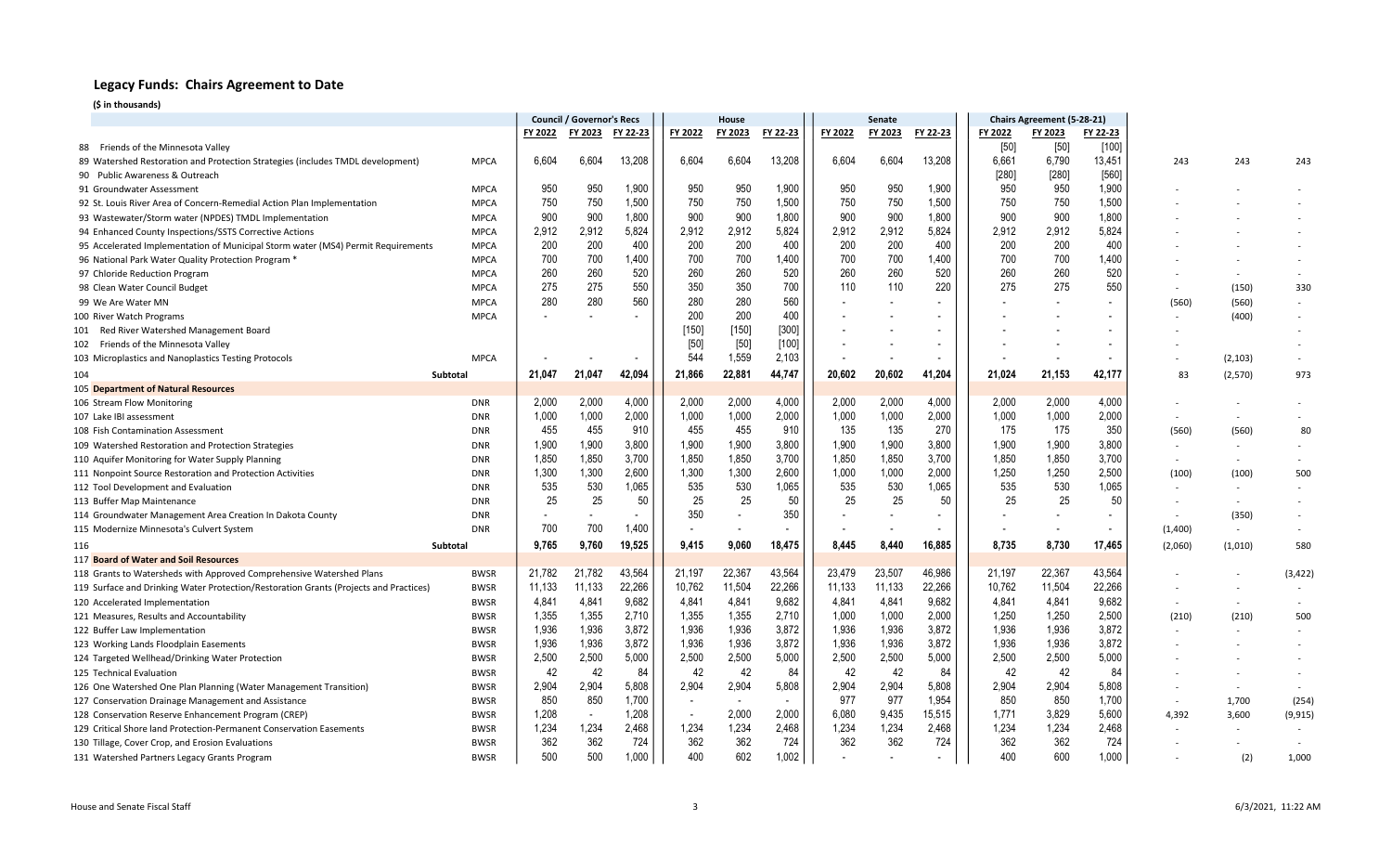|                                                                                       |                            | <b>Council / Governor's Recs</b> |            |                          | House                    |                          |              | Senate     |            |              | Chairs Agreement (5-28-21) |            |                          |         |                          |                          |
|---------------------------------------------------------------------------------------|----------------------------|----------------------------------|------------|--------------------------|--------------------------|--------------------------|--------------|------------|------------|--------------|----------------------------|------------|--------------------------|---------|--------------------------|--------------------------|
|                                                                                       |                            | FY 2022                          | FY 2023    | FY 22-23                 | FY 2022                  | FY 2023                  | FY 22-23     | FY 2022    | FY 2023    | FY 22-23     | FY 2022                    | FY 2023    | FY 22-23                 |         |                          |                          |
| 88 Friends of the Minnesota Valley                                                    |                            |                                  |            |                          |                          |                          |              |            |            |              | [50]                       | $[50]$     | $[100]$                  |         |                          |                          |
| 89 Watershed Restoration and Protection Strategies (includes TMDL development)        | <b>MPCA</b>                | 6,604                            | 6,604      | 13,208                   | 6,604                    | 6,604                    | 13,208       | 6,604      | 6,604      | 13,208       | 6,661                      | 6,790      | 13,451                   | 243     | 243                      | 243                      |
| 90 Public Awareness & Outreach                                                        |                            |                                  |            |                          |                          |                          |              |            |            |              | $[280]$                    | $[280]$    | $[560]$                  |         |                          |                          |
| 91 Groundwater Assessment                                                             | <b>MPCA</b>                | 950                              | 950        | 1,900                    | 950                      | 950                      | 1,900        | 950        | 950        | 1,900        | 950                        | 950        | 1,900                    |         |                          |                          |
| 92 St. Louis River Area of Concern-Remedial Action Plan Implementation                | <b>MPCA</b>                | 750                              | 750        | 1,500                    | 750                      | 750                      | 1,500        | 750        | 750        | 1,500        | 750                        | 750        | 1,500                    |         |                          |                          |
| 93 Wastewater/Storm water (NPDES) TMDL Implementation                                 | <b>MPCA</b>                | 900                              | 900        | 1,800                    | 900                      | 900                      | 1,800        | 900        | 900        | 1,800        | 900                        | 900        | 1,800                    |         |                          |                          |
| 94 Enhanced County Inspections/SSTS Corrective Actions                                | <b>MPCA</b>                | 2,912                            | 2,912      | 5,824                    | 2,912                    | 2,912                    | 5,824        | 2,912      | 2,912      | 5,824        | 2,912                      | 2,912      | 5,824                    |         |                          |                          |
| 95 Accelerated Implementation of Municipal Storm water (MS4) Permit Requirements      | <b>MPCA</b>                | 200                              | 200<br>700 | 400<br>1,400             | 200                      | 200                      | 400<br>1.400 | 200<br>700 | 200<br>700 | 400          | 200<br>700                 | 200<br>700 | 400                      |         |                          |                          |
| 96 National Park Water Quality Protection Program                                     | <b>MPCA</b>                | 700                              | 260        |                          | 700<br>260               | 700<br>260               |              | 260        | 260        | 1,400<br>520 |                            | 260        | 1,400                    |         | $\sim$                   |                          |
| 97 Chloride Reduction Program                                                         | <b>MPCA</b>                | 260<br>275                       | 275        | 520<br>550               | 350                      | 350                      | 520<br>700   | 110        | 110        | 220          | 260<br>275                 | 275        | 520<br>550               |         | $\sim$                   |                          |
| 98 Clean Water Council Budget                                                         | <b>MPCA</b><br><b>MPCA</b> | 280                              | 280        | 560                      | 280                      | 280                      | 560          |            |            |              |                            |            |                          |         | (150)                    | 330<br>$\sim$            |
| 99 We Are Water MN<br>100 River Watch Programs                                        | <b>MPCA</b>                |                                  |            |                          | 200                      | 200                      | 400          |            |            |              |                            |            |                          | (560)   | (560)<br>(400)           |                          |
|                                                                                       |                            |                                  |            |                          | [150]                    | $[150]$                  | $[300]$      |            |            |              |                            |            |                          |         |                          |                          |
| 101 Red River Watershed Management Board<br>102 Friends of the Minnesota Valley       |                            |                                  |            |                          | $[50]$                   | $[50]$                   | [100]        |            |            |              |                            |            |                          |         |                          |                          |
| 103 Microplastics and Nanoplastics Testing Protocols                                  | <b>MPCA</b>                |                                  |            |                          | 544                      | 1,559                    | 2,103        |            |            |              |                            |            |                          |         | (2, 103)                 |                          |
| 104                                                                                   | Subtotal                   | 21,047                           | 21,047     | 42,094                   | 21.866                   | 22,881                   | 44,747       | 20.602     | 20,602     | 41,204       | 21,024                     | 21,153     | 42,177                   | 83      | (2,570)                  | 973                      |
| 105 Department of Natural Resources                                                   |                            |                                  |            |                          |                          |                          |              |            |            |              |                            |            |                          |         |                          |                          |
| 106 Stream Flow Monitoring                                                            | <b>DNR</b>                 | 2,000                            | 2,000      | 4,000                    | 2,000                    | 2,000                    | 4,000        | 2,000      | 2,000      | 4,000        | 2,000                      | 2,000      | 4,000                    |         |                          |                          |
| 107 Lake IBI assessment                                                               | <b>DNR</b>                 | 1,000                            | 1,000      | 2,000                    | 1.000                    | 1,000                    | 2,000        | 1,000      | 1,000      | 2,000        | 1,000                      | 1,000      | 2,000                    |         | $\sim$                   |                          |
| 108 Fish Contamination Assessment                                                     | <b>DNR</b>                 | 455                              | 455        | 910                      | 455                      | 455                      | 910          | 135        | 135        | 270          | 175                        | 175        | 350                      | (560)   | (560)                    | 80                       |
| 109 Watershed Restoration and Protection Strategies                                   | <b>DNR</b>                 | 1,900                            | 1.900      | 3,800                    | 1.900                    | 1,900                    | 3,800        | 1,900      | 1,900      | 3,800        | 1.900                      | 1,900      | 3,800                    |         | $\overline{\phantom{a}}$ |                          |
| 110 Aquifer Monitoring for Water Supply Planning                                      | <b>DNR</b>                 | 1,850                            | 1,850      | 3,700                    | 1,850                    | 1,850                    | 3,700        | 1,850      | 1,850      | 3,700        | 1,850                      | 1,850      | 3,700                    | $\sim$  | $\sim$                   |                          |
| 111 Nonpoint Source Restoration and Protection Activities                             | <b>DNR</b>                 | 1,300                            | 1,300      | 2,600                    | 1,300                    | 1,300                    | 2,600        | 1,000      | 1,000      | 2,000        | 1,250                      | 1,250      | 2,500                    | (100)   | (100)                    | 500                      |
| 112 Tool Development and Evaluation                                                   | <b>DNR</b>                 | 535                              | 530        | 1,065                    | 535                      | 530                      | 1,065        | 535        | 530        | 1,065        | 535                        | 530        | 1,065                    |         | $\sim$                   |                          |
| 113 Buffer Map Maintenance                                                            | <b>DNR</b>                 | 25                               | 25         | 50                       | 25                       | 25                       | 50           | 25         | 25         | 50           | 25                         | 25         | 50                       |         | $\sim$                   |                          |
| 114 Groundwater Management Area Creation In Dakota County                             | <b>DNR</b>                 |                                  |            | $\overline{\phantom{a}}$ | 350                      | $\overline{\phantom{a}}$ | 350          |            |            |              |                            |            |                          |         | (350)                    | $\overline{\phantom{a}}$ |
| 115 Modernize Minnesota's Culvert System                                              | <b>DNR</b>                 | 700                              | 700        | 1,400                    | $\overline{\phantom{a}}$ | $\overline{\phantom{a}}$ |              | $\sim$     |            |              | $\overline{\phantom{a}}$   |            | $\overline{\phantom{a}}$ | (1,400) | $\sim$                   | $\overline{\phantom{a}}$ |
| 116                                                                                   | Subtotal                   | 9,765                            | 9,760      | 19,525                   | 9,415                    | 9,060                    | 18,475       | 8,445      | 8.440      | 16,885       | 8,735                      | 8,730      | 17,465                   | (2,060) | (1,010)                  | 580                      |
| 117 Board of Water and Soil Resources                                                 |                            |                                  |            |                          |                          |                          |              |            |            |              |                            |            |                          |         |                          |                          |
| 118 Grants to Watersheds with Approved Comprehensive Watershed Plans                  | <b>BWSR</b>                | 21,782                           | 21,782     | 43,564                   | 21,197                   | 22,367                   | 43,564       | 23,479     | 23,507     | 46,986       | 21,197                     | 22,367     | 43,564                   |         |                          | (3, 422)                 |
| 119 Surface and Drinking Water Protection/Restoration Grants (Projects and Practices) | <b>BWSR</b>                | 11,133                           | 11,133     | 22,266                   | 10,762                   | 11,504                   | 22,266       | 11,133     | 11,133     | 22,266       | 10,762                     | 11,504     | 22,266                   |         | $\overline{\phantom{a}}$ |                          |
| 120 Accelerated Implementation                                                        | <b>BWSR</b>                | 4,841                            | 4,841      | 9,682                    | 4,841                    | 4,841                    | 9,682        | 4,841      | 4,841      | 9,682        | 4,841                      | 4,841      | 9,682                    |         | $\sim$                   |                          |
| 121 Measures, Results and Accountability                                              | <b>BWSR</b>                | 1,355                            | 1,355      | 2,710                    | 1,355                    | 1,355                    | 2,710        | 1,000      | 1,000      | 2,000        | 1,250                      | 1,250      | 2,500                    | (210)   | (210)                    | 500                      |
| 122 Buffer Law Implementation                                                         | <b>BWSR</b>                | 1,936                            | 1,936      | 3,872                    | 1,936                    | 1,936                    | 3,872        | 1,936      | 1,936      | 3,872        | 1,936                      | 1,936      | 3,872                    |         | $\sim$                   |                          |
| 123 Working Lands Floodplain Easements                                                | <b>BWSR</b>                | 1,936                            | 1,936      | 3,872                    | 1,936                    | 1,936                    | 3,872        | 1,936      | 1,936      | 3,872        | 1,936                      | 1,936      | 3,872                    |         |                          |                          |
| 124 Targeted Wellhead/Drinking Water Protection                                       | <b>BWSR</b>                | 2,500                            | 2,500      | 5,000                    | 2,500                    | 2,500                    | 5,000        | 2,500      | 2,500      | 5,000        | 2,500                      | 2,500      | 5,000                    |         |                          |                          |
| 125 Technical Evaluation                                                              | <b>BWSR</b>                | 42                               | 42         | 84                       | 42                       | 42                       | 84           | 42         | 42         | 84           | 42                         | 42         | 84                       |         | $\overline{\phantom{a}}$ |                          |
| 126 One Watershed One Plan Planning (Water Management Transition)                     | <b>BWSR</b>                | 2,904                            | 2,904      | 5,808                    | 2,904                    | 2,904                    | 5,808        | 2,904      | 2,904      | 5,808        | 2,904                      | 2,904      | 5,808                    |         | $\overline{\phantom{a}}$ |                          |
| 127 Conservation Drainage Management and Assistance                                   | <b>BWSR</b>                | 850                              | 850        | 1,700                    |                          |                          |              | 977        | 977        | 1,954        | 850                        | 850        | 1,700                    |         | 1,700                    | (254)                    |
| 128 Conservation Reserve Enhancement Program (CREP)                                   | <b>BWSR</b>                | 1,208                            |            | 1,208                    | $\overline{\phantom{a}}$ | 2,000                    | 2,000        | 6,080      | 9,435      | 15,515       | 1,771                      | 3,829      | 5,600                    | 4,392   | 3,600                    | (9, 915)                 |
| 129 Critical Shore land Protection-Permanent Conservation Easements                   | <b>BWSR</b>                | 1,234                            | 1,234      | 2,468                    | 1,234                    | 1,234                    | 2,468        | 1,234      | 1,234      | 2,468        | 1,234                      | 1,234      | 2,468                    |         | $\sim$                   |                          |
| 130 Tillage, Cover Crop, and Erosion Evaluations                                      | <b>BWSR</b>                | 362                              | 362        | 724                      | 362                      | 362                      | 724          | 362        | 362        | 724          | 362                        | 362        | 724                      |         | $\overline{\phantom{a}}$ |                          |
| 131 Watershed Partners Legacy Grants Program                                          | <b>BWSR</b>                | 500                              | 500        | 1,000                    | 400                      | 602                      | 1,002        | $\sim$     |            |              | 400                        | 600        | 1,000                    |         | (2)                      | 1,000                    |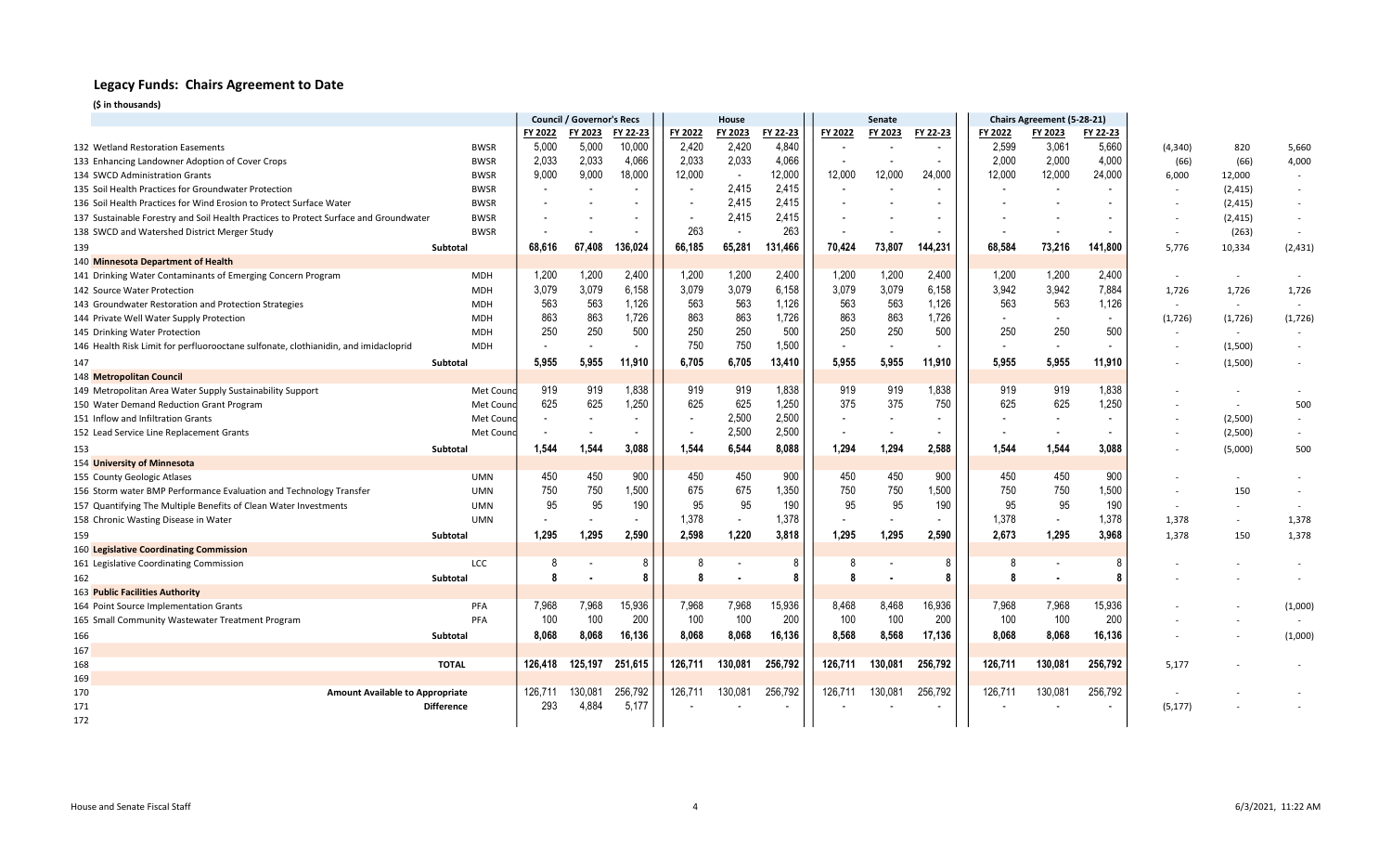|                                                                                       |                   | <b>Council / Governor's Recs</b> |                          |                          | House                    |                          |          |         | Senate  |          |                          | Chairs Agreement (5-28-21) |                          |          |                          |                          |
|---------------------------------------------------------------------------------------|-------------------|----------------------------------|--------------------------|--------------------------|--------------------------|--------------------------|----------|---------|---------|----------|--------------------------|----------------------------|--------------------------|----------|--------------------------|--------------------------|
|                                                                                       |                   | FY 2022                          | FY 2023                  | FY 22-23                 | FY 2022                  | FY 2023                  | FY 22-23 | FY 2022 | FY 2023 | FY 22-23 | FY 2022                  | FY 2023                    | FY 22-23                 |          |                          |                          |
| 132 Wetland Restoration Easements                                                     | <b>BWSR</b>       | 5,000                            | 5,000                    | 10,000                   | 2,420                    | 2,420                    | 4,840    |         |         |          | 2,599                    | 3,061                      | 5,660                    | (4, 340) | 820                      | 5,660                    |
| 133 Enhancing Landowner Adoption of Cover Crops                                       | <b>BWSR</b>       | 2,033                            | 2,033                    | 4,066                    | 2,033                    | 2,033                    | 4,066    |         |         |          | 2,000                    | 2,000                      | 4,000                    | (66)     | (66)                     | 4,000                    |
| 134 SWCD Administration Grants                                                        | <b>BWSR</b>       | 9,000                            | 9.000                    | 18,000                   | 12,000                   | $\overline{\phantom{a}}$ | 12.000   | 12,000  | 12,000  | 24,000   | 12,000                   | 12,000                     | 24,000                   | 6,000    | 12,000                   | $\overline{\phantom{a}}$ |
| 135 Soil Health Practices for Groundwater Protection                                  | <b>BWSR</b>       | $\overline{a}$                   | $\overline{\phantom{a}}$ |                          | $\overline{\phantom{a}}$ | 2,415                    | 2,415    | $\sim$  |         |          |                          |                            | $\overline{a}$           | $\sim$   | (2, 415)                 | $\overline{\phantom{a}}$ |
| 136 Soil Health Practices for Wind Erosion to Protect Surface Water                   | <b>BWSR</b>       |                                  |                          |                          |                          | 2,415                    | 2,415    |         |         |          |                          |                            |                          |          | (2, 415)                 | $\overline{\phantom{a}}$ |
| 137 Sustainable Forestry and Soil Health Practices to Protect Surface and Groundwater | <b>BWSR</b>       |                                  |                          |                          |                          | 2,415                    | 2,415    |         |         |          |                          |                            |                          |          | (2, 415)                 |                          |
| 138 SWCD and Watershed District Merger Study                                          | <b>BWSR</b>       |                                  |                          |                          | 263                      |                          | 263      |         |         |          |                          |                            |                          | $\sim$   | (263)                    |                          |
| 139                                                                                   | Subtotal          | 68,616                           | 67.408                   | 136,024                  | 66,185                   | 65,281                   | 131,466  | 70,424  | 73,807  | 144,231  | 68,584                   | 73,216                     | 141,800                  | 5,776    | 10,334                   | (2, 431)                 |
| 140 Minnesota Department of Health                                                    |                   |                                  |                          |                          |                          |                          |          |         |         |          |                          |                            |                          |          |                          |                          |
| 141 Drinking Water Contaminants of Emerging Concern Program                           | MDH               | 1,200                            | 1,200                    | 2,400                    | 1,200                    | 1,200                    | 2,400    | 1,200   | 1,200   | 2,400    | 1,200                    | 1,200                      | 2,400                    | $\sim$   | $\sim$                   |                          |
| 142 Source Water Protection                                                           | <b>MDH</b>        | 3,079                            | 3,079                    | 6,158                    | 3,079                    | 3,079                    | 6,158    | 3,079   | 3,079   | 6,158    | 3,942                    | 3,942                      | 7,884                    | 1,726    | 1,726                    | 1,726                    |
| 143 Groundwater Restoration and Protection Strategies                                 | <b>MDH</b>        | 563                              | 563                      | 1,126                    | 563                      | 563                      | 1,126    | 563     | 563     | 1,126    | 563                      | 563                        | 1,126                    | $\sim$   | $\sim$                   |                          |
| 144 Private Well Water Supply Protection                                              | <b>MDH</b>        | 863                              | 863                      | 1,726                    | 863                      | 863                      | 1,726    | 863     | 863     | 1,726    | $\sim$                   |                            | $\overline{\phantom{a}}$ | (1,726)  | (1,726)                  | (1, 726)                 |
| 145 Drinking Water Protection                                                         | <b>MDH</b>        | 250                              | 250                      | 500                      | 250                      | 250                      | 500      | 250     | 250     | 500      | 250                      | 250                        | 500                      | $\sim$   | $\sim$                   |                          |
| 146 Health Risk Limit for perfluorooctane sulfonate, clothianidin, and imidacloprid   | <b>MDH</b>        |                                  | $\overline{\phantom{a}}$ |                          | 750                      | 750                      | 1,500    |         |         |          | $\overline{\phantom{a}}$ | $\overline{\phantom{a}}$   | $\overline{\phantom{a}}$ | $\sim$   | (1,500)                  |                          |
| 147                                                                                   | Subtotal          | 5,955                            | 5,955                    | 11.910                   | 6,705                    | 6,705                    | 13,410   | 5,955   | 5,955   | 11,910   | 5,955                    | 5,955                      | 11,910                   |          | (1,500)                  |                          |
| 148 Metropolitan Council                                                              |                   |                                  |                          |                          |                          |                          |          |         |         |          |                          |                            |                          |          |                          |                          |
| 149 Metropolitan Area Water Supply Sustainability Support                             | Met Cound         | 919                              | 919                      | 1,838                    | 919                      | 919                      | 1,838    | 919     | 919     | 1,838    | 919                      | 919                        | 1,838                    |          |                          |                          |
| 150 Water Demand Reduction Grant Program                                              | Met Cound         | 625                              | 625                      | 1,250                    | 625                      | 625                      | 1,250    | 375     | 375     | 750      | 625                      | 625                        | 1,250                    |          | $\sim$                   | 500                      |
| 151 Inflow and Infiltration Grants                                                    | Met Cound         |                                  |                          |                          |                          | 2,500                    | 2,500    |         |         |          |                          |                            | $\overline{\phantom{a}}$ |          | (2,500)                  |                          |
| 152 Lead Service Line Replacement Grants                                              | Met Cound         |                                  |                          |                          |                          | 2,500                    | 2,500    |         |         |          |                          |                            | $\overline{\phantom{a}}$ |          | (2,500)                  |                          |
| 153                                                                                   | Subtotal          | 1.544                            | 1.544                    | 3.088                    | 1.544                    | 6.544                    | 8.088    | 1.294   | 1.294   | 2.588    | 1.544                    | 1.544                      | 3.088                    |          | (5,000)                  | 500                      |
| 154 University of Minnesota                                                           |                   |                                  |                          |                          |                          |                          |          |         |         |          |                          |                            |                          |          |                          |                          |
| 155 County Geologic Atlases                                                           | <b>UMN</b>        | 450                              | 450                      | 900                      | 450                      | 450                      | 900      | 450     | 450     | 900      | 450                      | 450                        | 900                      |          | $\sim$                   |                          |
| 156 Storm water BMP Performance Evaluation and Technology Transfer                    | <b>UMN</b>        | 750                              | 750                      | 1,500                    | 675                      | 675                      | 1,350    | 750     | 750     | 1,500    | 750                      | 750                        | 1,500                    |          | 150                      |                          |
| 157 Quantifying The Multiple Benefits of Clean Water Investments                      | <b>UMN</b>        | 95                               | 95                       | 190                      | 95                       | 95                       | 190      | 95      | 95      | 190      | 95                       | 95                         | 190                      |          | $\overline{\phantom{a}}$ |                          |
| 158 Chronic Wasting Disease in Water                                                  | <b>UMN</b>        |                                  |                          | $\overline{\phantom{a}}$ | 1,378                    | $\sim$                   | 1,378    | $\sim$  |         |          | 1,378                    | $\overline{\phantom{a}}$   | 1,378                    | 1,378    | $\sim$                   | 1,378                    |
| 159                                                                                   | Subtotal          | 1,295                            | 1.295                    | 2.590                    | 2,598                    | 1,220                    | 3.818    | 1,295   | 1.295   | 2,590    | 2,673                    | 1,295                      | 3,968                    | 1,378    | 150                      | 1,378                    |
| 160 Legislative Coordinating Commission                                               |                   |                                  |                          |                          |                          |                          |          |         |         |          |                          |                            |                          |          |                          |                          |
| 161 Legislative Coordinating Commission                                               | LCC               |                                  |                          | 8                        | 8                        |                          |          |         |         | -8       | 8                        |                            |                          |          |                          |                          |
| 162                                                                                   | Subtotal          | 8                                |                          | 8                        |                          |                          |          |         |         | 8        | 8                        |                            |                          |          |                          |                          |
| 163 Public Facilities Authority                                                       |                   |                                  |                          |                          |                          |                          |          |         |         |          |                          |                            |                          |          |                          |                          |
| 164 Point Source Implementation Grants                                                | PFA               | 7,968                            | 7,968                    | 15,936                   | 7,968                    | 7,968                    | 15,936   | 8,468   | 8,468   | 16,936   | 7,968                    | 7,968                      | 15,936                   |          |                          | (1,000)                  |
| 165 Small Community Wastewater Treatment Program                                      | PFA               | 100                              | 100                      | 200                      | 100                      | 100                      | 200      | 100     | 100     | 200      | 100                      | 100                        | 200                      |          |                          |                          |
| 166                                                                                   | Subtotal          | 8,068                            | 8.068                    | 16.136                   | 8,068                    | 8,068                    | 16,136   | 8,568   | 8,568   | 17,136   | 8,068                    | 8.068                      | 16,136                   |          |                          | (1,000)                  |
| 167                                                                                   |                   |                                  |                          |                          |                          |                          |          |         |         |          |                          |                            |                          |          |                          |                          |
| 168                                                                                   | <b>TOTAL</b>      | 126,418                          | 125,197                  | 251,615                  | 126,711                  | 130,081                  | 256,792  | 126,711 | 130,081 | 256,792  | 126,711                  | 130,081                    | 256,792                  | 5,177    |                          |                          |
| 169                                                                                   |                   |                                  |                          |                          |                          |                          |          |         |         |          |                          |                            |                          |          |                          |                          |
| 170<br><b>Amount Available to Appropriate</b>                                         |                   | 126,711                          | 130.081                  | 256,792                  | 126,711                  | 130,081                  | 256,792  | 126,711 | 130,081 | 256,792  | 126,71'                  | 130,081                    | 256,792                  |          |                          |                          |
| 171                                                                                   | <b>Difference</b> | 293                              | 4.884                    | 5,177                    |                          |                          |          |         |         |          |                          |                            | $\overline{\phantom{a}}$ | (5, 177) |                          |                          |
| 172                                                                                   |                   |                                  |                          |                          |                          |                          |          |         |         |          |                          |                            |                          |          |                          |                          |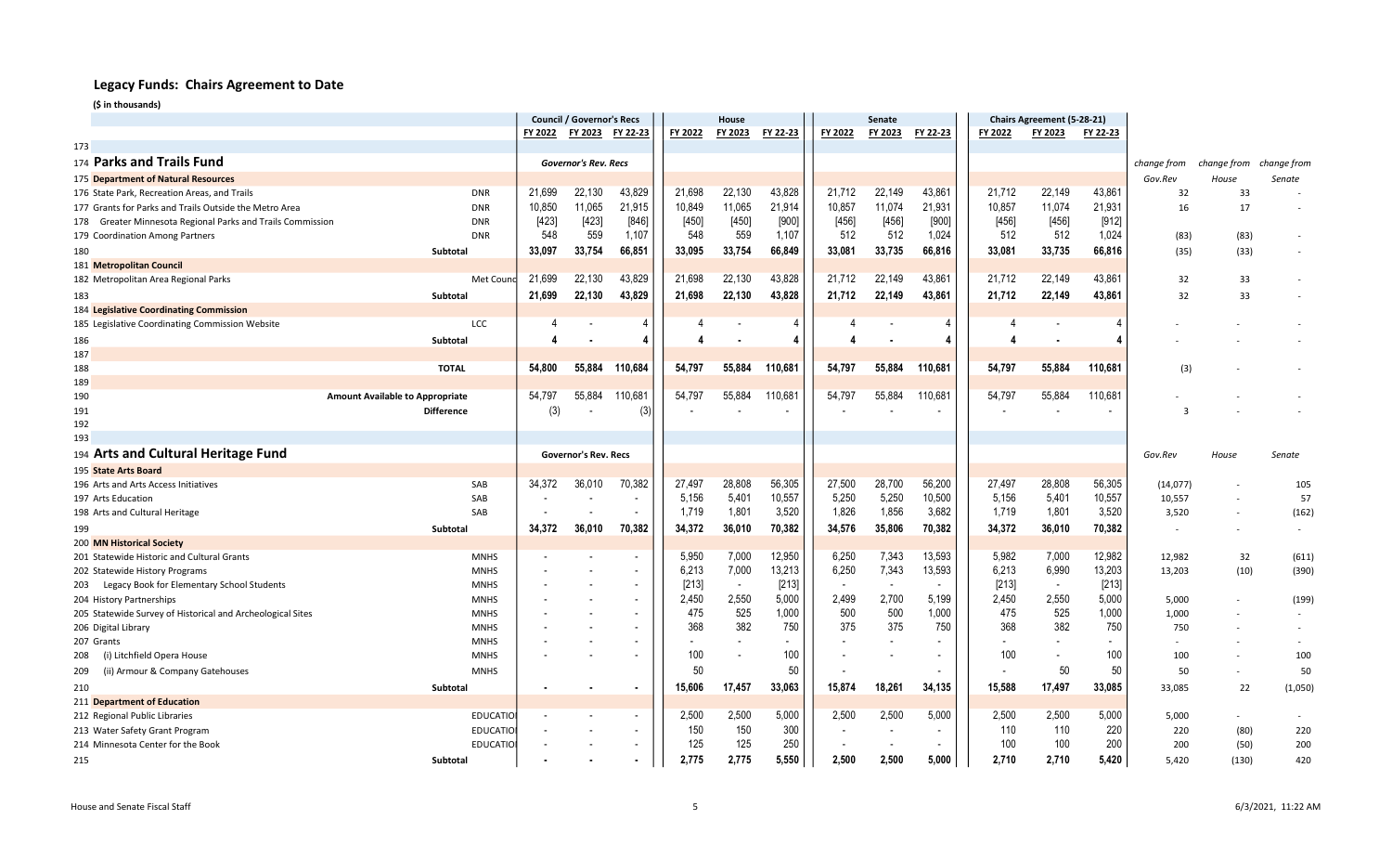|                                                            |                                        | <b>Council / Governor's Recs</b> |                             |                          | House   |                          |          | Senate                   |         |                          |                | Chairs Agreement (5-28-21) |          |             |                          |             |
|------------------------------------------------------------|----------------------------------------|----------------------------------|-----------------------------|--------------------------|---------|--------------------------|----------|--------------------------|---------|--------------------------|----------------|----------------------------|----------|-------------|--------------------------|-------------|
|                                                            |                                        | FY 2022                          | FY 2023                     | FY 22-23                 | FY 2022 | FY 2023                  | FY 22-23 | FY 2022                  | FY 2023 | FY 22-23                 | FY 2022        | FY 2023                    | FY 22-23 |             |                          |             |
| 173                                                        |                                        |                                  |                             |                          |         |                          |          |                          |         |                          |                |                            |          |             |                          |             |
| 174 Parks and Trails Fund                                  |                                        |                                  | Governor's Rev. Recs        |                          |         |                          |          |                          |         |                          |                |                            |          | change from | change from              | change from |
| 175 Department of Natural Resources                        |                                        |                                  |                             |                          |         |                          |          |                          |         |                          |                |                            |          | Gov.Rev     | House                    | Senate      |
| 176 State Park, Recreation Areas, and Trails               | <b>DNR</b>                             | 21.699                           | 22,130                      | 43,829                   | 21,698  | 22,130                   | 43,828   | 21,712                   | 22,149  | 43,861                   | 21,712         | 22,149                     | 43,861   | 32          | 33                       |             |
| 177 Grants for Parks and Trails Outside the Metro Area     | <b>DNR</b>                             | 10,850                           | 11,065                      | 21,915                   | 10,849  | 11,065                   | 21,914   | 10,857                   | 11,074  | 21,931                   | 10,857         | 11,074                     | 21,931   | 16          | 17                       |             |
| 178 Greater Minnesota Regional Parks and Trails Commission | <b>DNR</b>                             | [423]                            | $[423]$                     | $[846]$                  | $[450]$ | $[450]$                  | $[900]$  | $[456]$                  | [456]   | $[900]$                  | [456]          | [456]                      | [912]    |             |                          |             |
| 179 Coordination Among Partners                            | <b>DNR</b>                             | 548                              | 559                         | 1,107                    | 548     | 559                      | 1,107    | 512                      | 512     | 1,024                    | 512            | 512                        | 1,024    | (83)        | (83)                     |             |
| 180                                                        | Subtotal                               | 33,097                           | 33,754                      | 66,851                   | 33,095  | 33,754                   | 66,849   | 33,081                   | 33,735  | 66,816                   | 33,081         | 33,735                     | 66,816   | (35)        | (33)                     |             |
| 181 Metropolitan Council                                   |                                        |                                  |                             |                          |         |                          |          |                          |         |                          |                |                            |          |             |                          |             |
| 182 Metropolitan Area Regional Parks                       | Met Cound                              | 21,699                           | 22,130                      | 43,829                   | 21,698  | 22,130                   | 43,828   | 21,712                   | 22,149  | 43,861                   | 21,712         | 22.149                     | 43,861   | 32          | 33                       |             |
| 183                                                        | Subtotal                               | 21,699                           | 22,130                      | 43,829                   | 21.698  | 22,130                   | 43,828   | 21,712                   | 22,149  | 43,861                   | 21,712         | 22.149                     | 43,861   | 32          | 33                       |             |
| 184 Legislative Coordinating Commission                    |                                        |                                  |                             |                          |         |                          |          |                          |         |                          |                |                            |          |             |                          |             |
| 185 Legislative Coordinating Commission Website            | <b>LCC</b>                             |                                  |                             |                          |         |                          |          |                          |         |                          |                |                            |          |             |                          |             |
| 186                                                        | Subtotal                               | 4                                |                             | Δ                        |         |                          |          |                          |         |                          | 4              |                            |          |             |                          |             |
| 187                                                        |                                        |                                  |                             |                          |         |                          |          |                          |         |                          |                |                            |          |             |                          |             |
| 188                                                        | <b>TOTAL</b>                           | 54,800                           | 55,884                      | 110,684                  | 54,797  | 55,884                   | 110,681  | 54,797                   | 55.884  | 110,681                  | 54,797         | 55.884                     | 110,681  | (3)         |                          |             |
| 189                                                        |                                        |                                  |                             |                          |         |                          |          |                          |         |                          |                |                            |          |             |                          |             |
| 190                                                        | <b>Amount Available to Appropriate</b> | 54,797                           | 55,884                      | 110,681                  | 54,797  | 55,884                   | 110,681  | 54,797                   | 55,884  | 110,681                  | 54,797         | 55,884                     | 110,681  |             |                          |             |
| 191                                                        | <b>Difference</b>                      | (3)                              |                             | (3)                      |         |                          |          |                          |         |                          |                |                            |          | з           |                          |             |
| 192                                                        |                                        |                                  |                             |                          |         |                          |          |                          |         |                          |                |                            |          |             |                          |             |
| 193                                                        |                                        |                                  |                             |                          |         |                          |          |                          |         |                          |                |                            |          |             |                          |             |
| 194 Arts and Cultural Heritage Fund                        |                                        |                                  | <b>Governor's Rev. Recs</b> |                          |         |                          |          |                          |         |                          |                |                            |          | Gov.Rev     | House                    | Senate      |
| 195 State Arts Board                                       |                                        |                                  |                             |                          |         |                          |          |                          |         |                          |                |                            |          |             |                          |             |
| 196 Arts and Arts Access Initiatives                       | SAB                                    | 34,372                           | 36,010                      | 70,382                   | 27,497  | 28,808                   | 56,305   | 27,500                   | 28,700  | 56,200                   | 27,497         | 28,808                     | 56,305   | (14,077)    |                          | 105         |
| 197 Arts Education                                         | SAB                                    |                                  |                             | $\overline{\phantom{a}}$ | 5,156   | 5,401                    | 10,557   | 5,250                    | 5,250   | 10,500                   | 5,156          | 5,401                      | 10,557   | 10,557      |                          | 57          |
| 198 Arts and Cultural Heritage                             | SAB                                    |                                  | $\overline{\phantom{a}}$    | $\overline{\phantom{a}}$ | 1,719   | 1,801                    | 3,520    | 1,826                    | 1,856   | 3,682                    | 1,719          | 1,801                      | 3,520    | 3,520       | $\overline{\phantom{a}}$ | (162)       |
| 199                                                        | Subtotal                               | 34,372                           | 36,010                      | 70,382                   | 34,372  | 36,010                   | 70,382   | 34,576                   | 35,806  | 70,382                   | 34,372         | 36,010                     | 70,382   | $\sim$      |                          |             |
| 200 MN Historical Society                                  |                                        |                                  |                             |                          |         |                          |          |                          |         |                          |                |                            |          |             |                          |             |
| 201 Statewide Historic and Cultural Grants                 | <b>MNHS</b>                            |                                  |                             |                          | 5,950   | 7,000                    | 12,950   | 6,250                    | 7,343   | 13,593                   | 5,982          | 7,000                      | 12,982   | 12,982      | 32                       | (611)       |
| 202 Statewide History Programs                             | <b>MNHS</b>                            |                                  |                             | $\overline{\phantom{a}}$ | 6,213   | 7,000                    | 13,213   | 6,250                    | 7,343   | 13,593                   | 6,213          | 6,990                      | 13,203   | 13,203      | (10)                     | (390)       |
| 203 Legacy Book for Elementary School Students             | <b>MNHS</b>                            |                                  |                             | $\overline{\phantom{a}}$ | [213]   | $\overline{\phantom{a}}$ | [213]    | $\sim$                   |         | $\overline{a}$           | [213]          | $\overline{\phantom{a}}$   | $[213]$  |             |                          |             |
| 204 History Partnerships                                   | <b>MNHS</b>                            |                                  |                             | $\overline{\phantom{a}}$ | 2,450   | 2,550                    | 5,000    | 2,499                    | 2,700   | 5,199                    | 2,450          | 2,550                      | 5,000    | 5,000       |                          | (199)       |
| 205 Statewide Survey of Historical and Archeological Sites | <b>MNHS</b>                            |                                  |                             |                          | 475     | 525                      | 1,000    | 500                      | 500     | 1,000                    | 475            | 525                        | 1,000    | 1,000       |                          |             |
| 206 Digital Library                                        | <b>MNHS</b>                            |                                  |                             |                          | 368     | 382                      | 750      | 375                      | 375     | 750                      | 368            | 382                        | 750      | 750         |                          |             |
| 207 Grants                                                 | <b>MNHS</b>                            |                                  |                             | $\blacksquare$           |         |                          |          |                          |         |                          | $\overline{a}$ |                            |          | $\sim$      |                          |             |
| (i) Litchfield Opera House<br>208                          | <b>MNHS</b>                            |                                  |                             |                          | 100     | $\overline{\phantom{a}}$ | 100      |                          |         |                          | 100            |                            | 100      | 100         |                          | 100         |
| (ii) Armour & Company Gatehouses<br>209                    | <b>MNHS</b>                            |                                  |                             |                          | 50      |                          | 50       |                          |         |                          | $\overline{a}$ | 50                         | 50       | 50          | $\sim$                   | 50          |
| 210                                                        | Subtotal                               |                                  |                             | $\bullet$                | 15,606  | 17,457                   | 33,063   | 15,874                   | 18.261  | 34,135                   | 15,588         | 17,497                     | 33,085   | 33,085      | 22                       | (1,050)     |
| 211 Department of Education                                |                                        |                                  |                             |                          |         |                          |          |                          |         |                          |                |                            |          |             |                          |             |
| 212 Regional Public Libraries                              | <b>EDUCATIO</b>                        |                                  |                             | $\overline{\phantom{a}}$ | 2,500   | 2,500                    | 5,000    | 2,500                    | 2,500   | 5,000                    | 2,500          | 2,500                      | 5,000    | 5,000       | ٠                        |             |
| 213 Water Safety Grant Program                             | <b>EDUCATIO</b>                        |                                  |                             | $\overline{\phantom{a}}$ | 150     | 150                      | 300      | $\overline{\phantom{a}}$ |         | $\overline{\phantom{a}}$ | 110            | 110                        | 220      | 220         | (80)                     | 220         |
| 214 Minnesota Center for the Book                          | <b>EDUCATIO</b>                        |                                  |                             | $\overline{\phantom{a}}$ | 125     | 125                      | 250      |                          |         | $\overline{\phantom{a}}$ | 100            | 100                        | 200      | 200         | (50)                     | 200         |
| 215                                                        | Subtotal                               |                                  |                             | $\blacksquare$           | 2.775   | 2,775                    | 5,550    | 2,500                    | 2,500   | 5,000                    | 2,710          | 2,710                      | 5,420    | 5,420       | (130)                    | 420         |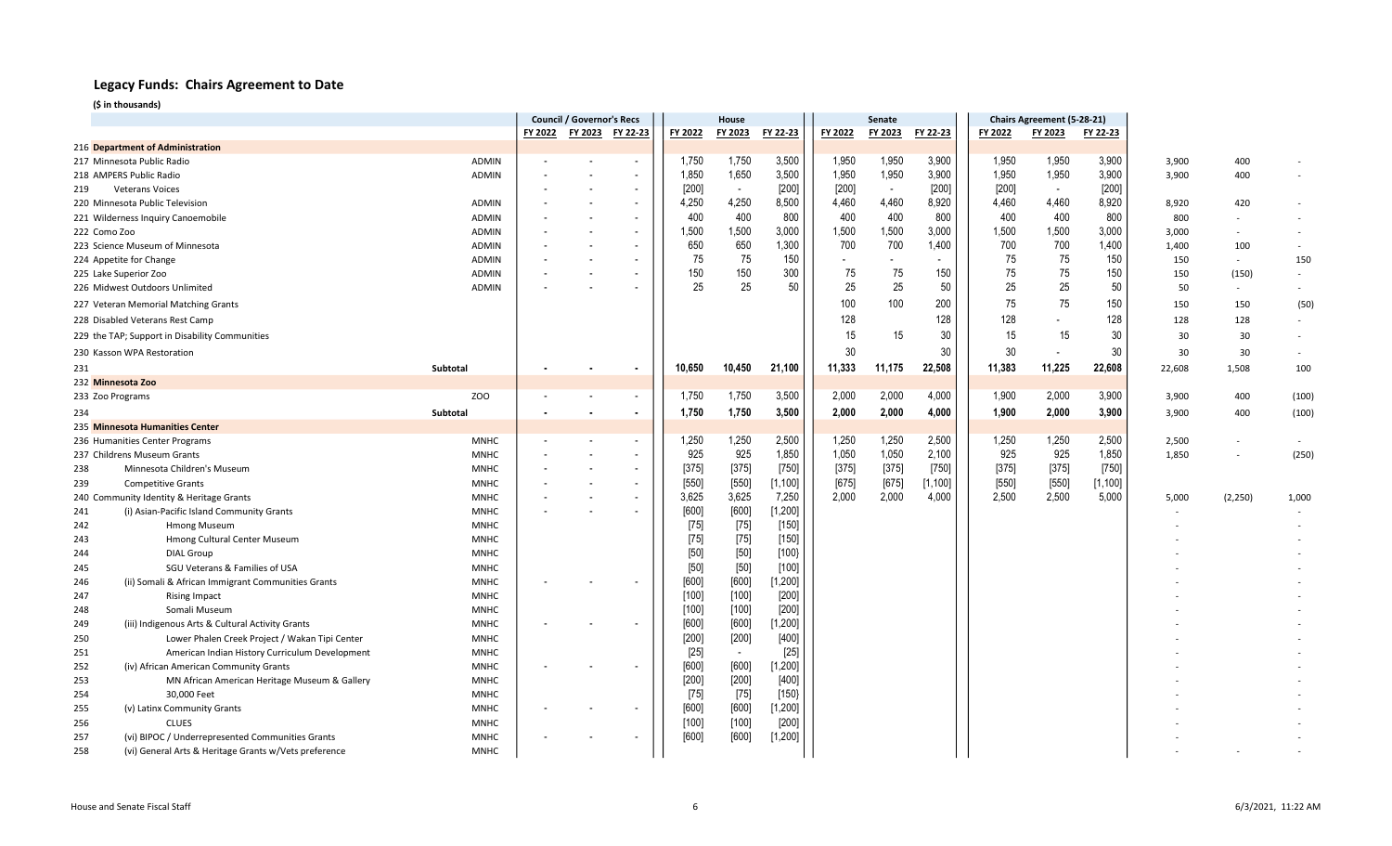|              |                                                       |              | <b>Council / Governor's Recs</b> |                |                          | House   |                          |          | Senate                   |                          |          |         | Chairs Agreement (5-28-21) |          |        |          |                          |
|--------------|-------------------------------------------------------|--------------|----------------------------------|----------------|--------------------------|---------|--------------------------|----------|--------------------------|--------------------------|----------|---------|----------------------------|----------|--------|----------|--------------------------|
|              |                                                       |              | FY 2022                          | <b>FY 2023</b> | FY 22-23                 | FY 2022 | FY 2023                  | FY 22-23 | FY 2022                  | FY 2023                  | FY 22-23 | FY 2022 | FY 2023                    | FY 22-23 |        |          |                          |
|              | 216 Department of Administration                      |              |                                  |                |                          |         |                          |          |                          |                          |          |         |                            |          |        |          |                          |
|              | 217 Minnesota Public Radio                            | <b>ADMIN</b> |                                  |                | $\overline{\phantom{a}}$ | 1,750   | 1,750                    | 3,500    | 1,950                    | 1,950                    | 3,900    | 1,950   | 1,950                      | 3,900    | 3,900  | 400      |                          |
|              | 218 AMPERS Public Radio                               | <b>ADMIN</b> |                                  |                | $\overline{\phantom{a}}$ | 1,850   | 1,650                    | 3,500    | 1,950                    | 1,950                    | 3,900    | 1,950   | 1,950                      | 3,900    | 3,900  | 400      |                          |
| 219          | <b>Veterans Voices</b>                                |              |                                  |                | $\overline{\phantom{a}}$ | [200]   | $\overline{\phantom{a}}$ | $[200]$  | $[200]$                  | $\overline{\phantom{a}}$ | $[200]$  | [200]   | $\overline{\phantom{a}}$   | [200]    |        |          |                          |
|              | 220 Minnesota Public Television                       | <b>ADMIN</b> |                                  |                | $\overline{\phantom{a}}$ | 4,250   | 4,250                    | 8,500    | 4,460                    | 4,460                    | 8,920    | 4,460   | 4,460                      | 8,920    | 8,920  | 420      |                          |
|              | 221 Wilderness Inquiry Canoemobile                    | ADMIN        |                                  |                |                          | 400     | 400                      | 800      | 400                      | 400                      | 800      | 400     | 400                        | 800      | 800    |          |                          |
| 222 Como Zoo |                                                       | ADMIN        |                                  |                | $\blacksquare$           | 1,500   | 1,500                    | 3,000    | 1,500                    | 1,500                    | 3,000    | 1,500   | 1,500                      | 3,000    | 3,000  | $\sim$   |                          |
|              | 223 Science Museum of Minnesota                       | ADMIN        |                                  |                |                          | 650     | 650                      | 1,300    | 700                      | 700                      | 1,400    | 700     | 700                        | 1,400    | 1,400  | 100      | $\overline{\phantom{a}}$ |
|              | 224 Appetite for Change                               | <b>ADMIN</b> |                                  |                |                          | 75      | 75                       | 150      | $\overline{\phantom{a}}$ |                          |          | 75      | 75                         | 150      | 150    | $\sim$   | 150                      |
|              | 225 Lake Superior Zoo                                 | ADMIN        |                                  |                |                          | 150     | 150                      | 300      | 75                       | 75                       | 150      | 75      | 75                         | 150      | 150    | (150)    |                          |
|              | 226 Midwest Outdoors Unlimited                        | <b>ADMIN</b> |                                  |                |                          | 25      | 25                       | 50       | 25                       | 25                       | 50       | 25      | 25                         | 50       | 50     | $\sim$   |                          |
|              | 227 Veteran Memorial Matching Grants                  |              |                                  |                |                          |         |                          |          | 100                      | 100                      | 200      | 75      | 75                         | 150      | 150    | 150      | (50)                     |
|              | 228 Disabled Veterans Rest Camp                       |              |                                  |                |                          |         |                          |          | 128                      |                          | 128      | 128     |                            | 128      | 128    | 128      | $\sim$                   |
|              | 229 the TAP; Support in Disability Communities        |              |                                  |                |                          |         |                          |          | 15                       | 15                       | 30       | 15      | 15                         | 30       | 30     | 30       | $\sim$                   |
|              | 230 Kasson WPA Restoration                            |              |                                  |                |                          |         |                          |          | 30                       |                          | 30       | $30\,$  |                            | 30       | 30     | 30       |                          |
|              |                                                       |              |                                  |                |                          |         |                          |          |                          |                          |          |         |                            |          |        |          |                          |
| 231          |                                                       | Subtotal     |                                  |                | $\blacksquare$           | 10,650  | 10,450                   | 21,100   | 11,333                   | 11,175                   | 22,508   | 11,383  | 11,225                     | 22,608   | 22,608 | 1,508    | 100                      |
|              | 232 Minnesota Zoo                                     |              |                                  |                |                          |         |                          |          |                          |                          |          |         |                            |          |        |          |                          |
|              | 233 Zoo Programs                                      | ZOO          |                                  |                | $\overline{\phantom{a}}$ | 1,750   | 1,750                    | 3,500    | 2,000                    | 2,000                    | 4,000    | 1,900   | 2,000                      | 3,900    | 3,900  | 400      | (100)                    |
| 234          |                                                       | Subtotal     |                                  |                | $\bullet$                | 1,750   | 1,750                    | 3,500    | 2,000                    | 2,000                    | 4,000    | 1,900   | 2,000                      | 3,900    | 3,900  | 400      | (100)                    |
|              | 235 Minnesota Humanities Center                       |              |                                  |                |                          |         |                          |          |                          |                          |          |         |                            |          |        |          |                          |
|              | 236 Humanities Center Programs                        | <b>MNHC</b>  |                                  |                | $\overline{\phantom{a}}$ | 1,250   | 1,250                    | 2,500    | 1,250                    | 1,250                    | 2,500    | 1,250   | 1,250                      | 2,500    | 2,500  |          |                          |
|              | 237 Childrens Museum Grants                           | <b>MNHC</b>  |                                  |                |                          | 925     | 925                      | 1,850    | 1,050                    | 1,050                    | 2,100    | 925     | 925                        | 1,850    | 1,850  |          | (250)                    |
| 238          | Minnesota Children's Museum                           | <b>MNHC</b>  |                                  |                | $\overline{\phantom{a}}$ | $[375]$ | $[375]$                  | [750]    | $[375]$                  | $[375]$                  | $[750]$  | $[375]$ | $[375]$                    | $[750]$  |        |          |                          |
| 239          | <b>Competitive Grants</b>                             | <b>MNHC</b>  |                                  |                | $\blacksquare$           | $[550]$ | $[550]$                  | [1, 100] | $[675]$                  | $[675]$                  | [1, 100] | $[550]$ | $[550]$                    | [1, 100] |        |          |                          |
|              | 240 Community Identity & Heritage Grants              | <b>MNHC</b>  |                                  |                |                          | 3,625   | 3,625                    | 7,250    | 2,000                    | 2,000                    | 4,000    | 2,500   | 2,500                      | 5,000    | 5,000  | (2, 250) | 1,000                    |
| 241          | (i) Asian-Pacific Island Community Grants             | <b>MNHC</b>  |                                  |                |                          | [600]   | [600]                    | [1, 200] |                          |                          |          |         |                            |          | ٠      |          |                          |
| 242          | Hmong Museum                                          | <b>MNHC</b>  |                                  |                |                          | $[75]$  | $[75]$                   | $[150]$  |                          |                          |          |         |                            |          |        |          |                          |
| 243          | Hmong Cultural Center Museum                          | <b>MNHC</b>  |                                  |                |                          | $[75]$  | $[75]$                   | $[150]$  |                          |                          |          |         |                            |          |        |          |                          |
| 244          | <b>DIAL Group</b>                                     | <b>MNHC</b>  |                                  |                |                          | [50]    | $[50]$                   | [100]    |                          |                          |          |         |                            |          |        |          |                          |
| 245          | SGU Veterans & Families of USA                        | <b>MNHC</b>  |                                  |                |                          | $[50]$  | $[50]$                   | [100]    |                          |                          |          |         |                            |          |        |          |                          |
| 246          | (ii) Somali & African Immigrant Communities Grants    | <b>MNHC</b>  |                                  |                |                          | [600]   | [600]                    | [1, 200] |                          |                          |          |         |                            |          |        |          |                          |
| 247          | <b>Rising Impact</b>                                  | <b>MNHC</b>  |                                  |                |                          | [100]   | $[100]$                  | $[200]$  |                          |                          |          |         |                            |          |        |          |                          |
| 248          | Somali Museum                                         | <b>MNHC</b>  |                                  |                |                          | [100]   | $[100]$                  | $[200]$  |                          |                          |          |         |                            |          |        |          |                          |
| 249          | (iii) Indigenous Arts & Cultural Activity Grants      | <b>MNHC</b>  |                                  |                |                          | [600]   | [600]                    | [1, 200] |                          |                          |          |         |                            |          |        |          |                          |
| 250          | Lower Phalen Creek Project / Wakan Tipi Center        | <b>MNHC</b>  |                                  |                |                          | $[200]$ | $[200]$                  | $[400]$  |                          |                          |          |         |                            |          |        |          |                          |
| 251          | American Indian History Curriculum Development        | <b>MNHC</b>  |                                  |                |                          | $[25]$  | $\overline{\phantom{a}}$ | $[25]$   |                          |                          |          |         |                            |          |        |          |                          |
| 252          | (iv) African American Community Grants                | <b>MNHC</b>  |                                  |                |                          | [600]   | [600]                    | [1, 200] |                          |                          |          |         |                            |          |        |          |                          |
| 253          | MN African American Heritage Museum & Gallery         | <b>MNHC</b>  |                                  |                |                          | [200]   | $[200]$                  | $[400]$  |                          |                          |          |         |                            |          |        |          |                          |
| 254          | 30,000 Feet                                           | <b>MNHC</b>  |                                  |                |                          | $[75]$  | $[75]$                   | [150]    |                          |                          |          |         |                            |          |        |          |                          |
| 255          | (v) Latinx Community Grants                           | <b>MNHC</b>  |                                  |                |                          | [600]   | [600]                    | [1, 200] |                          |                          |          |         |                            |          |        |          |                          |
| 256          | <b>CLUES</b>                                          | <b>MNHC</b>  |                                  |                |                          | [100]   | [100]                    | $[200]$  |                          |                          |          |         |                            |          |        |          |                          |
| 257          | (vi) BIPOC / Underrepresented Communities Grants      | <b>MNHC</b>  |                                  |                |                          | [600]   | [600]                    | [1, 200] |                          |                          |          |         |                            |          |        |          |                          |
| 258          | (vi) General Arts & Heritage Grants w/Vets preference | <b>MNHC</b>  |                                  |                |                          |         |                          |          |                          |                          |          |         |                            |          |        |          |                          |